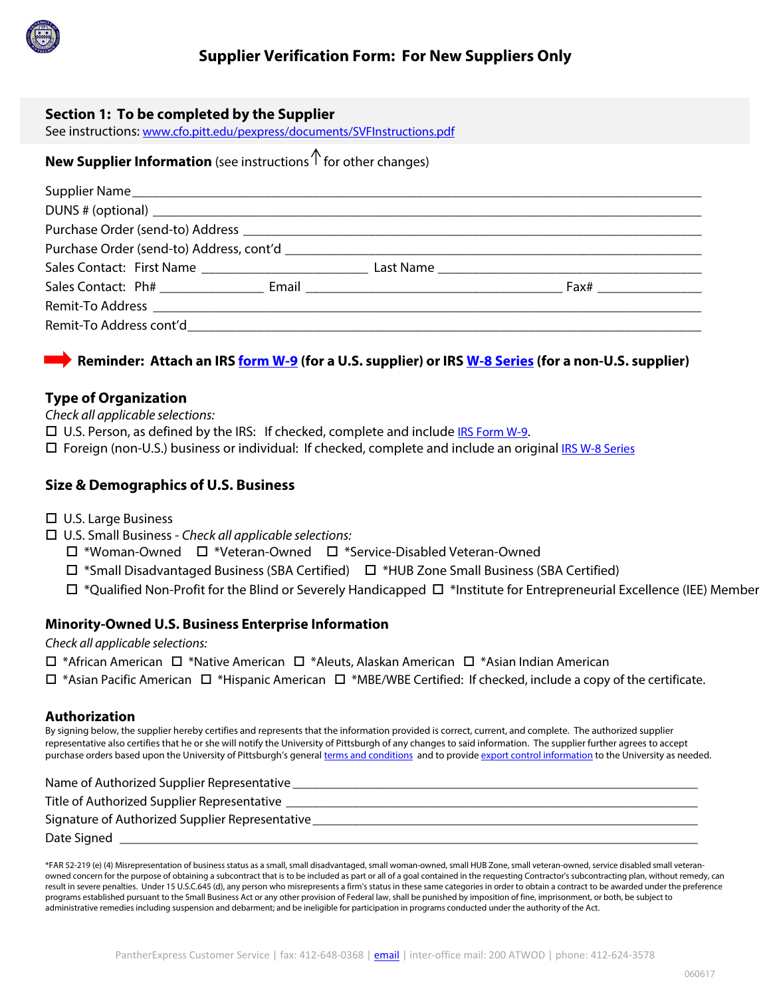

### **Section 1: To be completed by the Supplier**

See instructions: www.cfo.pitt.edu/pexpress/documents/SVFInstructions.pdf

# **New Supplier Information** (see instructions  $\int$  for other changes)

## **Reminder: Attach an IRS form W-9 (for a U.S. supplier) or IRS W-8 Series (for a non-U.S. supplier)**

### **Type of Organization**

Check all applicable selections:

 $\square$  U.S. Person, as defined by the IRS: If checked, complete and include IRS Form W-9.

 $\Box$  Foreign (non-U.S.) business or individual: If checked, complete and include an original IRS W-8 Series

## **Size & Demographics of U.S. Business**

- U.S. Large Business
- $\Box$  U.S. Small Business Check all applicable selections:
	- \*Woman-Owned \*Veteran-Owned \*Service-Disabled Veteran-Owned
	- \*Small Disadvantaged Business (SBA Certified) \*HUB Zone Small Business (SBA Certified)
- \*Qualified Non-Profit for the Blind or Severely Handicapped \*Institute for Entrepreneurial Excellence (IEE) Member

### **Minority-Owned U.S. Business Enterprise Information**

Check all applicable selections:

- $\Box$  \*African American  $\Box$  \*Native American  $\Box$  \*Aleuts, Alaskan American  $\Box$  \*Asian Indian American
- $\Box$  \*Asian Pacific American  $\Box$  \*Hispanic American  $\Box$  \*MBE/WBE Certified: If checked, include a copy of the certificate.

#### **Authorization**

By signing below, the supplier hereby certifies and represents that the information provided is correct, current, and complete. The authorized supplier representative also certifies that he or she will notify the University of Pittsburgh of any changes to said information. The supplier further agrees to accept purchase orders based upon the University of Pittsburgh's general terms and conditions and to provide export control information to the University as needed.

| Name of Authorized Supplier Representative      |
|-------------------------------------------------|
| Title of Authorized Supplier Representative     |
| Signature of Authorized Supplier Representative |
| Date Signed                                     |

\*FAR 52-219 (e) (4) Misrepresentation of business status as a small, small disadvantaged, small woman-owned, small HUB Zone, small veteran-owned, service disabled small veteranowned concern for the purpose of obtaining a subcontract that is to be included as part or all of a goal contained in the requesting Contractor's subcontracting plan, without remedy, can result in severe penalties. Under 15 U.S.C.645 (d), any person who misrepresents a firm's status in these same categories in order to obtain a contract to be awarded under the preference programs established pursuant to the Small Business Act or any other provision of Federal law, shall be punished by imposition of fine, imprisonment, or both, be subject to administrative remedies including suspension and debarment; and be ineligible for participation in programs conducted under the authority of the Act.